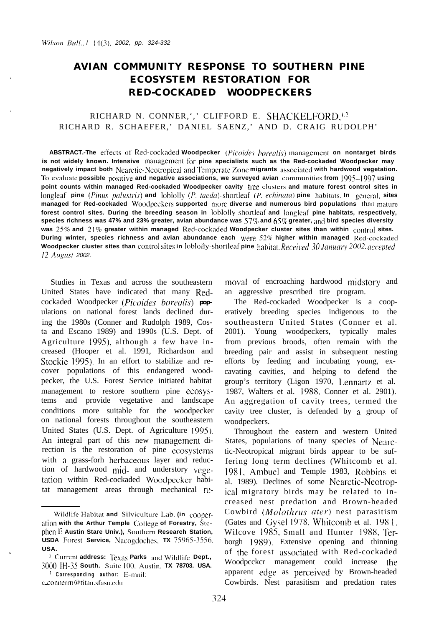# **AVIAN COMMUNITY RESPONSE TO SOUTHERN PINE ECOSYSTEM RESTORATION FOR RED-COCKADED WOODPECKERS**

## RICHARD N. CONNER, ',' CLIFFORD E. SHACKELFORD,<sup>1,2</sup> RICHARD R. SCHAEFER,' DANIEL SAENZ,' AND D. CRAIG RUDOLPH'

ABSTRACT.-The effects of Red-cockaded Woodpecker (Picoides borealis) management on nontarget birds is not widely known. Intensive management for pine specialists such as the Red-cockaded Woodpecker may **negatively impact both Nearctic-Neotropical and Temperate Zone migrants** associated with hardwood vegetation. To evaluate possible positive and negative associations, we surveyed avian communities from 1995-1997 using **point counts within managed Red-cockaded Woodpecker cavity tree clusters and mature forest control sites in** longleaf pine (Pinus palustris) and loblolly (P. taeda)-shortleaf (P. echinata) pine habitats. In general, sites **managed for Red-cockaded Woodpeckers supported more diverse and numerous bird populations than mature forest control sites. During the breeding season in loblolly-shortleat' and longleaf pine habitats, respectively, species richness was 47% and 23% greater, avian abundance was 57% and 65% greater, and bird species diversity** was 25% and 21% greater within managed Red-cockaded Woodpecker cluster sites than within control sites. **During winter, species richness and avian abundance each were 52% higher within managed Red-cockaded Woodpecker cluster sites than** control sites in loblolly-shortleaf pine habitat. Received 30 January 2002, accepted *<sup>12</sup> Aqust 2002.*

Studies in Texas and across the southeastern United States have indicated that many Redcockaded Woodpecker *(Picoides borealis)* **pop**ulations on national forest lands declined during the 1980s (Conner and Rudolph 1989, Costa and Escano 1989) and 1990s (U.S. Dept. of Agriculture 1993, although a few have increased (Hooper et al. 1991, Richardson and Stockie 1995). In an effort to stabilize and recover populations of this endangered woodpecker, the U.S. Forest Service initiated habitat management to restore southern pine ccosystems and provide vegetative and landscape conditions more suitable for the woodpecker on national forests throughout the southeastern United States (U.S. Dept. of Agriculture 1995). An integral part of this new management direction is the restoration of pine ecosystems with a grass-forh herbaceous layer and reduction of hardwood mid- and understory vegetation within Red-cockaded Woodpecker habitat management areas through mechanical re-

 $c$ \_connerrn@titan.sfasu.edu

moval of encroaching hardwood midstory and an aggressive prescribed tire program.

The Red-cockaded Woodpecker is a cooperatively breeding species indigenous to the southeastern United States (Conner et al. 2001). Young woodpeckers, typically males from previous broods, often remain with the breeding pair and assist in subsequent nesting efforts by feeding and incubating young, excavating cavities, and helping to defend the group's territory (Ligon 1970, Lennartz et al. 1987, Walters et al. 1988, Conner et al. 2901). An aggregation of cavity trees, termed the cavity tree cluster, is defended by a group of woodpeckers.

Throughout the eastern and western United States, populations of tnany species of Nearctic-Neotropical migrant birds appear to be suffering long term declines (Whitcomb et al. 1981, Ambuel and Temple 1983, Robbins et al. 1989). Declines of some Nearctic-Neotropical migratory birds may be related to increased nest predation and Brown-headed Cowbird (Molothrus ater) nest parasitism (Gates and Gysel 1978, Whitcomb et al. 1981, Wilcove 1985, Small and Hunter 1988, Terborgh 19X9). Extensive opening and thinning of the forest associated with Red-cockaded Woodpcckcr management could increase the apparent edge as perceived by Brown-headed Cowbirds. Nest parasitism and predation rates

**<sup>&#</sup>x27; Wildlife Habitat and Silviculture Lab. (in cooper**ation with the Arthur Temple College of Forestry, Ste**phen E Austin Stare Univ.), Southcrn Research Station, USDA** Forest Service, Nacogdoches, TX 75965-3556. **USA.**

<sup>&</sup>lt;sup>2</sup> Current **address:** Texas Parks and Wildlife Dept., **3000 IH-35 South. Suite 100. Austin, TX 78703. USA. ' Corresponding author: Ii-mail:**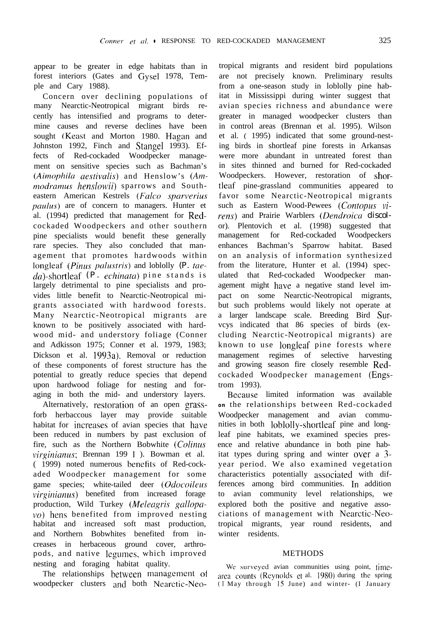appear to be greater in edge habitats than in forest interiors (Gates and Gysel 1978, Temple and Cary 1988).

Concern over declining populations of many Nearctic-Neotropical migrant birds recently has intensified and programs to determine causes and reverse declines have been sought (Keast and Morton 1980. Hagan and Johnston 1992, Finch and Stangel 1993). Effects of Red-cockaded Woodpecker management on sensitive species such as Bachman's (Aimophila *aestivalis*) and Henslow's (Am*modramus henslowii*) sparrows and Southeastern American Kestrels *(Fulco .sparverius* paulus) are of concern to managers. Hunter et al. (1994) predicted that management for Redcockaded Woodpeckers and other southern pine specialists would benefit these generally rare species. They also concluded that management that promotes hardwoods within longleaf *(Pinus palustris)* and loblolly *(P. tae* da)-shortleaf *(P. echinata)* pine stands is largely detrimental to pine specialists and provides little benefit to Nearctic-Neotropical migrants associated with hardwood forests. Many Nearctic-Neotropical migrants are known to be positively associated with hardwood mid- and understory foliage (Conner and Adkisson 1975; Conner et al. 1979, 1983; Dickson et al. 1993a). Removal or reduction of these components of forest structure has the potential to greatly reduce species that depend upon hardwood foliage for nesting and foraging in both the mid- and understory layers.

Alternatively, restoration of an open grassforb herbaccous layer may provide suitable habitat for increases of avian species that have been reduced in numbers by past exclusion of fire, such as the Northern Bobwhite *(Colinus virginianus*; Brennan 199 | ). Bowman et al. (1999) noted numerous benefits of Red-cockaded Woodpecker management for some game species; white-tailed deer (Odocoileus  $virqinianus$ ) benefited from increased forage production, Wild Turkey (Meleagris gallopa- $\mathbf{v}\mathbf{o}$ ) hens benefited from improved nesting habitat and increased soft mast production, and Northern Bobwhites benefited from increases in herbaceous ground cover, arthropods, and native Icgumes, which improved nesting and foraging habitat quality.

The relationships between management ol woodpecker clusters **and** both Nearctic-Neo-

tropical migrants and resident bird populations are not precisely known. Preliminary results from a one-season study in loblolly pine habitat in Mississippi during winter suggest that avian species richness and abundance were greater in managed woodpecker clusters than in control areas (Brennan et al. 1995). Wilson et al. ( 1995) indicated that some ground-nesting birds in shortleaf pine forests in Arkansas were more abundant in untreated forest than in sites thinned and burned for Red-cockaded Woodpeckers. However, restoration of shortleaf pine-grassland communities appeared to favor some Nearctic-Neotropical migrants such as Eastern Wood-Pewees (Contopus vi $rens$ ) and Prairie Warblers (Dendroica discolor). Plentovich et al. (1998) suggested that management for Red-cockaded Woodpeckers enhances Bachman's Sparrow habitat. Based on an analysis of information synthesized from the literature, Hunter et al. (1994) speculated that Red-cockaded Woodpecker management might have a negative stand level impact on some Nearctic-Neotropical migrants, but such problems would likely not operate at a larger landscape scale. Breeding Bird Survcys indicated that 86 species of birds (excluding Nearctic-Neotropical migrants) are known to use longleaf pine forests where management regimes of selective harvesting and growing season fire closely resemble Redcockaded Woodpecker management (Engstrom 1993).

Because limited information was available **on** the relationships between Red-cockaded Woodpecker management and avian communities in both loblolly-shortleaf pine and longleaf pine habitats, we examined species presence and relative abundance in both pine habitat types during spring and winter over a 3 year period. We also examined vegetation characteristics potentially associated with differences among bird communities. In addition avian community level relationships, we explored both the positive and negative associations of management with Nearctic-Neotropical migrants, year round residents, and winter residents.

#### METHODS

We surveyed avian communities using point, timearea counts (Reynolds et al. 1980) during the spring (I May through IS June) and winter- (I January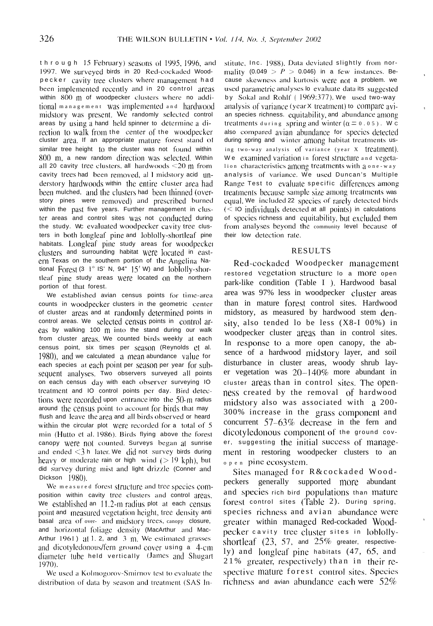through 15 February) seasons of 1995, 1996, and 1997. We surveyed birds in 20 Red-cockaded Woodpecker cavity tree clusters where management had been implemented recently and in 20 control areas within 800 m of woodpecker clusters where no additional management was implemented and hardwood midstory was present. We randomly selected control areas by using a hand held spinner to determine a direction to walk from the center of the woodpecker cluster area. If an appropriate mature forest stand of similar tree height (0 the cluster was not found within 800 m, a new random direction was selected. Within all 20 cavity tree clusters, all hardwoods  $\leq$ 20 m from cavity trees had been removed, all midstory acid understory hardwoods within the entire cluster area had been mulched, and the clusters had been thinned (overstory pines were removed) and prescribed burned within the past five years. Further management in cluster areas and control sites was not conducted during the study. We evaluated woodpecker cavity tree clusters in both longleaf pine and loblolly-shortleaf pine habitats. Longleaf pine study areas for woodpecker clusters and surrounding habitat were located in eastern Texas on the southern portion of the Angelina National Forest  $(3 \t1^{\circ} \t1S' N, 94^{\circ} \t15' W)$  and  $[oblollv-shor$ tleaf pine study areas were located on the northern portion of that forest.

We established avian census points for time-area counts in woodpecker clusters in the geometric center of cluster areas and at randomly determined points in control areas. We selected census points in control areas by walking 100 m into the stand during our walk from cluster areas. We counted birds weekly at each census point, six times per season (Reynolds et al.  $1980$ ), and we calculated a mean abundance value for each species at each point per season per year for subsequent analyses. Two observers surveyed all points on each census day with each observer surveying IO treatment and IO control points per day. Bird detections were recorded upon entrance into the  $50-m$  radius around the census point to account for birds that may flush and leave the area and all birds observed or heard within the circular plot were recorded for a total of 5 min (Hutto et al. 1986). Birds flying above the forest canopy were not counted. Surveys began at sunrise and ended  $\leq$ 3 h later. We did not survey birds during heavy or moderate rain or high wind  $(>19 \text{ kph})$ , but did survey during mist and light drizzle (Conner and Dickson [980).

We measured forest structure and tree species composition within cavity tree clusters and control areas. We established an 11.2-m radius plot at each census point and measured vegetation height, tree density anti basal area of over- and midstory trees, canopy closure, and horizontal foliage density (MacArthur and Mac-Arthur  $1961$ ) at 1, 2, and 3 m. We estimated grasses and dicotyledonous/fern ground cover using a 4-cm diameter tube held vertically (James and Shugart 1970).

We used a Kolmogorov-Smirnov test to evaluate the distribution of data by season and treatment (SAS In-

stitute, Inc. 1988). Data deviated slightly from normality (0.049 >  $P > 0.046$ ) in a few instances. Because skewness and kurtosis were not a problem. we used parametric analyses lo evaluate data its suggested by Sokal and Rohlf (1969:377). We used two-way analysis of variance (year X treatment) to compare avian species richness. equitability, and abundance among treatments during spring and winter ( $\alpha = 0.05$ ). W c also compared avian abundance for species detected during spring and winter among habitat treatments using two-way analysis of variance (year X treatment). We examined variation in forest structure and vegetalion characteristics among treatments with a one-way analysis of variance. We used Duncan's Multiple Range Test to evaluate specific differences among treatments because sample size among treatments was equal. We included 22 species of rarely detected birds  $(<$  10 individuals detected at all points) in calculations of species richness and equitability, but excluded them from analyses beyond the community level because of their low detection rate.

### **RESULTS**

Red-cockaded Woodpecker management restored vegetation structure lo a more open park-like condition (Table I ). Hardwood basal area was 97% less in woodpecker cluster areas than in mature forest control sites. Hardwood midstory, as measured by hardwood stem density, also tended lo be less (X8-I 00%) in woodpecker cluster areas than in control sites. In response to a more open canopy, the absence of a hardwood midstory layer, and soil disturbance in cluster areas, woody shrub layer vegetation was  $20-140\%$  more abundant in cluster areas than in control sites. The openness created by the removal of hardwood midstory also was associated with a 200-300% increase in the grass component and concurrent 57-63% decrease in the fern and dicotyledonous component of the ground cover, suggesting the initial success of management in restoring woodpecker clusters to an  $o$  p e n pine ecosystem.

Sites managed for R&cockaded Woodpeckers generally supported more abundant and species rich bird populations than mature forest control sites (Table 2). During spring, species richness and avian abundance were greater within managed Red-cockaded Woodpecker cavity tree cluster sites in loblollyshortleaf  $(23, 57, \text{ and } 25\%$  greater, respectively) and longleaf pine habitats (47, 65, and 21% greater, respectively) than in their respective mature forest control sites. Species richness and avian abundance each were  $52\%$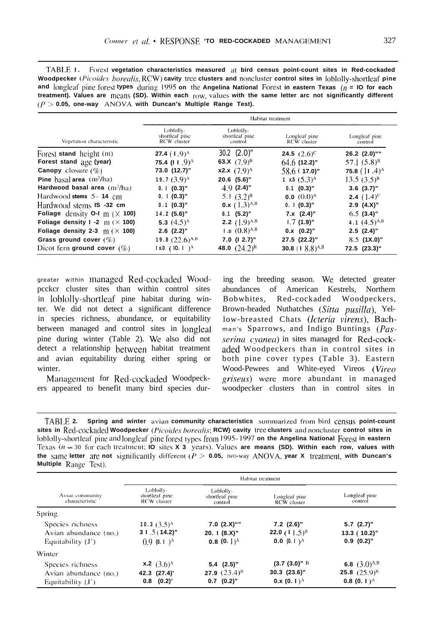| TABLE 1. Forest vegetation characteristics measured at bird census point-count sites in Red-cockaded             |  |  |
|------------------------------------------------------------------------------------------------------------------|--|--|
| Woodpecker (Picoides borealis, RCW) cavity tree clusters and noncluster control sites in loblolly-shortleaf pine |  |  |
| and longleaf pine forest types during 1995 on the Angelina National Forest in eastern Texas ( $n =$ 10 for each  |  |  |
| treatment). Values are means (SD). Within each row, values with the same letter arc not significantly different  |  |  |
| $(P > 0.05$ . one-way ANOVA with Duncan's Multiple Range Test).                                                  |  |  |

|                                           |                                            |                                        | Habitat treatment              |                                                |
|-------------------------------------------|--------------------------------------------|----------------------------------------|--------------------------------|------------------------------------------------|
| Vegetation characteristic                 | Loblolly-<br>shortleaf pine<br>RCW cluster | Loblolly-<br>shortleaf pine<br>control | Longleaf pine<br>RCW cluster   | Longleaf pine<br>control                       |
| Forest stand height (m)                   | <b>27.4</b> $(1.9)^A$                      | $30.2$ $(2.0)$ "                       | <b>24.5</b> $(2.6)^{c}$        | 26.2 (2.0)""                                   |
| Forest stand age (year)                   | 75.4 (11.9) <sup>A</sup>                   | 63.X $(7.9)^B$                         | $64.6$ (12.2)"                 | 57.1 $(5.8)^8$                                 |
| <b>Canopy</b> closure $(\%)$              | 73.0 (12.7)"                               | <b>x2.x</b> $(7.9)^A$                  | $58.6$ (17.0)"                 | 75.8 $($   1 .4) <sup><math>\land</math></sup> |
| <b>Pine</b> basal area $(m^2/ha)$         | 19.7 $(3.9)$ <sup>A</sup>                  | $20.6$ $(5.6)$ "                       | 1 x.5 $(5.3)^A$                | $13.5(3.5)^{B}$                                |
| Hardwood basal area $(m^2/ha)$            | $0.1(0.3)$ "                               | $4.9(2.4)$ "                           | $0.1$ (0.3)"                   | $3.6$ $(3.7)$ "                                |
| Hardwood stems 5–14 cm                    | $0.$   $(0.3)$ "                           | 5.1 $(3.2)^{B}$                        | 0.0 $(0.0)$ <sup>A</sup>       | <b>2.4</b> $(1.4)^{c}$                         |
| Hardwood stems <b>IS</b> -32 cm           | $0.1$ (0.3)"                               | 0.x $(1.3)^{A,B}$                      | 0.1(0.3) <sup>n</sup>          | $2.9$ $(4.X)$ "                                |
| Foliage density 0-1 $m$ ( $\times$ 100)   | $14.2(5.6)$ "                              | $6.1$ (5.2)"                           | $7.x$ $(2.4)$ "                | $6.5$ (3.4)"                                   |
| Foliage density $1 - 2$ m ( $\times$ 100) | 5.3 $(4.5)$ <sup><math>\wedge</math></sup> | <b>2.2</b> $(1.9)^{A,B}$               | $1.7(1.9)$ "                   | 4.1 $(4.5)^{A,B}$                              |
| Foliage density 2-3 $m$ ( $\times$ 100)   | $2.6$ $(2.2)$ "                            | 1.0 $(0.8)^{A,B}$                      | $0.x(0.2)$ "                   | $2.5$ $(2.4)$ "                                |
| Grass ground cover $(\%)$                 | 19.8 $(22.6)^{A,B}$                        | $7.0$ (1 2.7)"                         | 27.5 (22.2)"                   | $8.5$ (1X.0)"                                  |
| Dicot fern ground cover $(\%)$            | $1x.0$ (10.1) <sup>A</sup>                 | 48.0 $(24.2)^8$                        | 30.8 (1 $8.8$ ) <sup>A,B</sup> | 72.5 (23.3)"                                   |

greater within managed Red-cockaded Woodpcckcr cluster sites than within control sites in lohlolly-shortleaf' pine habitat during winter. We did not detect a significant difference in species richness, abundance, or equitability between managed and control sites in longleaf pine during winter (Table 2). We also did not detect a relationship between habitat treatment and avian equitability during either spring or winter.

Management for Red-cockaded Woodpeckers appeared to benefit many bird species during the breeding season. We detected greater abundances of American Kestrels, Northern Bobwhites, Red-cockaded Woodpeckers, Brown-headed Nuthatches (Sitta pusilla), Yellow-breasted Chats *(Icteriu virens),* Bachman's Sparrows, and Indigo Buntings (Pas*serina cyanea*) in sites managed for Red-cockadcd Woodpeckers than in control sites in both pine cover types (Table 3). Eastern Wood-Pewees and White-eyed Vireos *(Vireo griseus)* were more abundant in managed woodpecker clusters than in control sites in

**TABLE 2.** Spring and winter avian community characteristics summarized from bird census point-count sites in Red-cockaded Woodpecker (Picoides borealis; RCW) cavity tree clusters and noncluster control sites in loblolly-shortleaf pine and longleaf pine forest types from 1995-1997 on the Angelina National Forest in eastern Texas  $(n = 30)$  for each treatment; **IO** sites **X 3** years). Values are means (SD). Within each row, values with **the same letter are not significantly different**  $(P > 0.05$ **, IWO-way ANOVA, year X treatment, with Duncan's Multiple Range Test).** 

|                                   |                                           |                                        | Habitat treatment              |                                      |
|-----------------------------------|-------------------------------------------|----------------------------------------|--------------------------------|--------------------------------------|
| Avian community<br>characteristic | LobloHy-<br>shortleaf pine<br>RCW cluster | Loblolly-<br>shortleaf pine<br>control | Longleaf pine<br>RCW cluster   | Longleaf pine<br>control             |
| Spring                            |                                           |                                        |                                |                                      |
| Species richness                  | 10.3 $(3.5)^{A}$                          | 7.0 $(2.X)^{i''}$                      | $7.2$ (2.6)"                   | $5.7$ (2.7)"                         |
| Avian abundance (no.)             | $31.5(14.2)$ "                            | 20. $(8.X)$ "                          | 22.0 $(11.5)^8$                | $13.3(10.2)$ "                       |
| Equitability $(J')$               | $(0.9(0.1)^A$                             | $0.8(0.1)$ <sup>A</sup>                | <b>0.0</b> (0. 1) <sup>A</sup> | $0.9(0.2)$ "                         |
| Winter                            |                                           |                                        |                                |                                      |
| Species richness                  | <b>x.2</b> $(3.6)^A$                      | $5.4$ $(2.5)$ "                        | $(3.7 (3.0)^n$ B               | 6.8 $(3.0)^{A,B}$                    |
| Avian abundance (no.)             | 42.3 (27.4)                               | <b>27.9</b> $(23.4)^{B}$               | $30.3$ $(23.6)$ "              | <b>25.8</b> $(25.9)^8$               |
| Equitability $(J')$               | (0.2)'<br>0.8                             | $0.7$ $(0.2)$ "                        | $0.x(0.1)^A$                   | 0.8 (0. 1) <sup><math>A</math></sup> |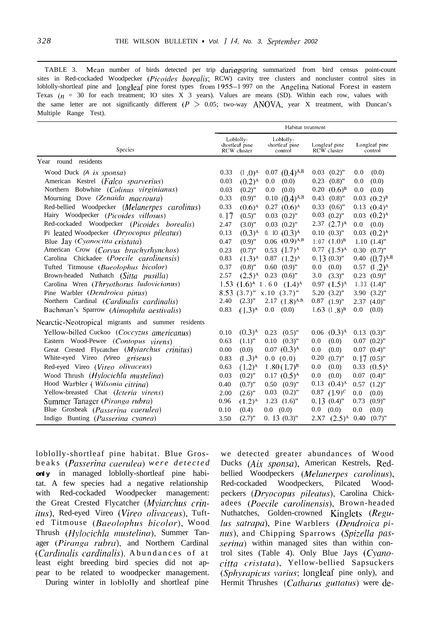TABLE 3. Mean number of birds detected per trip duringspring summarized from bird census point-count sites in Red-cockaded Woodpecker *(Picoides* borealis; RCW) cavity tree clusters and noncluster control sites in loblolly-shortleaf pine and longleaf pine forest types from 1955-l 997 on the Angelina National Forest in eastern Texas  $(n = 30)$  for each treatment; IO sites X 3 years). Values are means (SD). Within each row, values with the same letter are not significantly different ( $P > 0.05$ ; two-way ANOVA, year X treatment, with Duncan's Multiple Range Test).

|                                                    |      |                                            | Habitat treatment                      |                              |                  |                             |
|----------------------------------------------------|------|--------------------------------------------|----------------------------------------|------------------------------|------------------|-----------------------------|
| Species                                            |      | Loblolly-<br>shortleaf pine<br>RCW cluster | Loblolly-<br>shortleaf pine<br>control | Longleaf pine<br>RCW cluster |                  | Longleaf pine<br>control    |
| Year round residents                               |      |                                            |                                        |                              |                  |                             |
| Wood Duck (A ix sponsa)                            | 0.33 | $(1.0)^A$                                  | $0.07$ $(0.4)^{A,B}$                   | 0.03<br>$(0.2)$ "            | 0.0              | (0.0)                       |
| American Kestrel (Falco sparverus)                 | 0.03 | $(0.2)$ <sup>A</sup>                       | (0.0)<br>0.0                           | 0.23<br>$(0.8)$ "            | 0.0              | (0.0)                       |
| Northern Bobwhite (Colinus virginianus)            | 0.03 | $(0.2)$ "                                  | (0.0)<br>0.0                           | 0.20<br>$(0.6)^{B}$          | 0.0              | (0.0)                       |
| Mourning Dove (Zenaida macroura)                   | 0.33 | $(0.9)$ "                                  | 0.10 $(0.4)$ <sup>A,B</sup>            | 0.43<br>$(0.8)$ "            |                  | $0.03$ $(0.2)^{B}$          |
| Red-bellied Woodpecker (Melanerpes carolinus)      | 0.33 | $(0.6)$ <sup>A</sup>                       | $0.27$ $(0.6)^A$                       | 0.33<br>$(0.6)$ "            |                  | $0.13$ $(0.4)$ <sup>A</sup> |
| Hairy Woodpecker (Picoides villosus)               | 0.17 | $(0.5)$ "                                  | $0.03$ $(0.2)$ "                       | $0.03$ $(0.2)$ "             |                  | $0.03$ $(0.2)^A$            |
| Red-cockaded Woodpecker (Picoides borealis)        | 2.47 | $(3.0)$ "                                  | $0.03$ $(0.2)$ "                       | $2.37$ $(2.7)^A$             | 0.0              | (0.0)                       |
| Pi leated Woodpecker (Dryocopus pileatus)          | 0.13 | $(0.3)$ <sup>A</sup>                       | $(0.3)$ <sup>A</sup><br>$0.$ IO        | $0.10(0.3)$ "                |                  | $0.03$ $(0.2)^A$            |
| Blue Jay (Cyanocitta cristata)                     | 0.47 | $(0.9)$ "                                  | $0.06$ $(0.9)^{A,B}$                   | $1.07$ $(1.0)^8$             |                  | $1.10(1.4)$ "               |
| American Crow (Corvus brachyrhynchos)              | 0.23 | $(0.7)$ "                                  | $0.53$ $(1.7)^A$                       | $0.77$ $(1.5)^A$             |                  | $0.30$ $(0.7)$ "            |
| Carolina Chickadee ( <i>Poecile carolinensis</i> ) | 0.83 | $(1.3)^{A}$                                | $0.87$ $(1.2)^A$                       | $0.13(0.3)$ "                |                  | 0.40 $(0.7)^{A,B}$          |
| Tufted Titmouse ( <i>Baeolophus bicolor</i> )      | 0.37 | $(0.8)$ "                                  | $0.60$ $(0.9)$ "                       | 0.0<br>(0.0)                 |                  | 0.57 $(I.2)^A$              |
| Brown-headed Nuthatch (Sitta pusilla)              | 2.57 | $(2.5)$ <sup>A</sup>                       | $0.23$ $(0.6)$ "                       | 3.0<br>$(3.3)$ "             |                  | $0.23$ $(0.9)$ "            |
| Carolina Wren (Thryothorus ludovicianus)           |      |                                            | 1.53 $(1.6)^A$ 1.60 $(1.4)^A$          | $0.97$ $(1.5)^A$             |                  | $1.33$ $(1.4)$ "            |
| Pine Warbler (Dendroica pinus)                     |      |                                            | $8.53$ $(3.7)$ " x.10 $(3.7)$ "        | $5.20(3.2)$ "                |                  | $3.90(3.2)$ "               |
| Northern Cardinal (Cardinalis cardinalis)          | 2.40 | $(2.3)$ "                                  | $2.17(1.8)^{A,B}$                      | $0.87$ $(1.9)$ "             |                  | $2.37$ $(4.0)$ "            |
| Bachman's Sparrow (Aimophila aestivalis)           | 0.83 | $(1.3)^A$                                  | 0.0<br>(0.0)                           | $1.63(1.8)^{B}$              | 0.0              | (0.0)                       |
| Nearctic-Neotropical migrants and summer residents |      |                                            |                                        |                              |                  |                             |
| Yellow-billed Cuckoo (Coccyzus americanus)         | 0.10 | $(0.3)$ <sup>A</sup>                       | 0.23<br>$(0.5)$ "                      | $0.06$ $(0.3)^A$             | $0.13$ $(0.3)$ " |                             |
| Eastern Wood-Pewee (Contopus virens)               | 0.63 | $(1.1)$ "                                  | 0.10<br>$(0.3)$ "                      | 0.0<br>(0.0)                 |                  | $0.07$ $(0.2)$ "            |
| Great Crested Flycatcher (Myiarchus crinitus)      | 0.00 | (0.0)                                      | $0.07$ $(0.3)$ <sup>A</sup>            | 0.0<br>(0.0)                 | $0.07$ $(0.4)$ " |                             |
| White-eyed Vireo (Vireo griseus)                   | 0.83 | $(1.3)^A$                                  | 0.0(0.0)                               | 0.20<br>$(0.7)$ "            | $0.17(0.5)$ "    |                             |
| Red-eyed Vireo (Vireo olivaceus)                   | 0.63 | $(1.2)^A$                                  | $1.80(1.7)^{B}$                        | 0.0<br>(0.0)                 |                  | $0.33$ $(0.5)^A$            |
| Wood Thrush ( <i>Hylocichla mustelina</i> )        | 0.03 | $(0.2)$ "                                  | $0.17$ $(0.5)^A$                       | 0.0<br>(0.0)                 | 0.07             | $(0.4)$ "                   |
| Hood Warbler ( <i>Wilsonia citrina</i> )           | 0.40 | $(0.7)$ "                                  | $(0.9)$ "<br>0.50                      | $(0.4)$ <sup>A</sup><br>0.13 | 0.57             | $(1.2)$ "                   |
| Yellow-breasted Chat (Icteria virens)              | 2.00 | $(2.6)$ "                                  | $(0.2)$ "<br>0.03                      | $0.87$ $(1.9)^c$             | 0.0              | (0.0)                       |
| Summer Tanager ( <i>Piranga rubra</i> )            | 0.96 | $(1.2)^A$                                  | $1.23$ $(1.6)$ "                       | 0.13(0.4)                    | 0.73             | $(0.9)$ "                   |
| Blue Grosbeak (Passerina caerulea)                 | 0.10 | (0.4)                                      | (0.0)<br>$0.0\,$                       | 0.0<br>(0.0)                 | 0.0              | (0.0)                       |
| Indigo Bunting (Passerina cyanea)                  | 3.50 | $(2.7)$ "                                  | $0.13(0.3)$ "                          | $2.X7$ $(2.5)^A$             | $0.40$ $(0.7)$ " |                             |

loblolly-shortleaf pine habitat. Blue Grosbeaks *(Pm~rrinn caeruleo) were detected* **only** in managed loblolly-shortleaf pine habitat. A few species had a negative relationship with Red-cockaded Woodpecker management: the Great Crested Flycatcher (*Myiarchus crinitus*), Red-eyed Vireo *(Vireo olivaceus)*, Tufted Titmouse *(Bneolophus hicolor),* Wood Thrush *(Hylocichla mustelina)*, Summer Tanager (Piranga rubra), and Northern Cardinal (*Cardinalis cardinalis*). Abundances of at least eight breeding bird species did not appear to be related to woodpecker management.

During winter in loblolly and shortleaf pine

we detected greater abundances of Wood Ducks (Aix sponsa), American Kestrels, Redbellied Woodpeckers *(Melanerpes carolinus)*, Red-cockaded Woodpeckers, Pilcated Woodpeckers (Dryocopus pileatus), Carolina Chickadees *(Poecile carolinensis),* Brown-headed Nuthatches, Golden-crowned Kinglets (Regulus satrapa), Pine Warblers (Dendroica pinus), and Chipping Sparrows *(Spizdla pussrrina)* within managed sites than within control sites (Table 4). Only Blue Jays  $(Cyano$ *citta cristata*), Yellow-bellied Sapsuckers *(Sphyrapicus varius;* longleaf pine only), and Hermit Thrushes (Catharus guttatus) were de-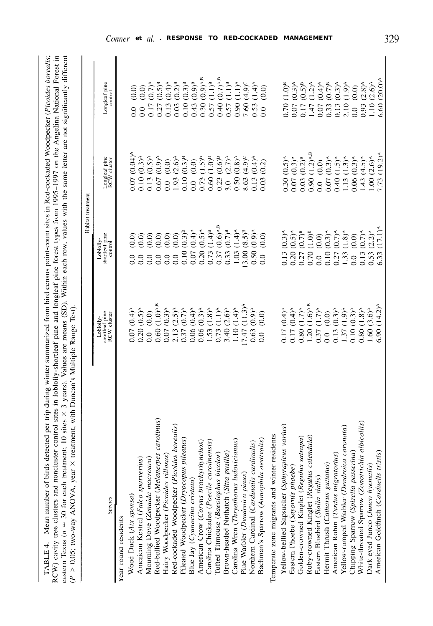| FABLE 4. Mean number of birds detected per trip during winter summarized from bird census point-count sites in Red-cockaded Woodpecker (Picoides borealis;                   |
|------------------------------------------------------------------------------------------------------------------------------------------------------------------------------|
| CW) cavity tree clusters and noncluster control sites in loblolly-shortleaf pine and longleaf pine forest types from 1995-1997 on the Angelina National Forest in            |
| eastern Texas ( $n = 30$ for each treatment; 10 sites $\times$ 3 years). Values are means (SD). Within each row, values with the same letter are not significantly different |
| treatment, with Duncan's Multiple Range Test).<br>$P > 0.05$ ; two-way ANOVA, year $\times$                                                                                  |
|                                                                                                                                                                              |

|                                                                                      |                                                                             | Habitat treatment                                                                                                                                                                                                                                                                                                                                                                                                                                    |                                                                                                                                                                        |                                                                                                                                                                                                                                                                                                                                                                                       |
|--------------------------------------------------------------------------------------|-----------------------------------------------------------------------------|------------------------------------------------------------------------------------------------------------------------------------------------------------------------------------------------------------------------------------------------------------------------------------------------------------------------------------------------------------------------------------------------------------------------------------------------------|------------------------------------------------------------------------------------------------------------------------------------------------------------------------|---------------------------------------------------------------------------------------------------------------------------------------------------------------------------------------------------------------------------------------------------------------------------------------------------------------------------------------------------------------------------------------|
| Species                                                                              | Loblolly-<br>shortleaf pine<br>RCW cluster                                  | shortleaf pine<br>Loblolly<br>control                                                                                                                                                                                                                                                                                                                                                                                                                | Longleaf pine<br>RCW cluster                                                                                                                                           | Longleaf pine<br>control                                                                                                                                                                                                                                                                                                                                                              |
| Year round residents                                                                 |                                                                             |                                                                                                                                                                                                                                                                                                                                                                                                                                                      |                                                                                                                                                                        |                                                                                                                                                                                                                                                                                                                                                                                       |
| Wood Duck (Aix sponsa)                                                               | 0.07(0.4)                                                                   |                                                                                                                                                                                                                                                                                                                                                                                                                                                      | $(0.04)^{4}$<br>0.07                                                                                                                                                   | (0.0)<br>0.0                                                                                                                                                                                                                                                                                                                                                                          |
| American Kestrel (Falco sparverius)                                                  | $(0.5)^{\wedge}$<br>0.20                                                    |                                                                                                                                                                                                                                                                                                                                                                                                                                                      | $(0.3)^A$                                                                                                                                                              | (0.0)<br>0.0                                                                                                                                                                                                                                                                                                                                                                          |
| Mourning Dove (Zenaida macroura)                                                     | $(0.0)$<br>$\overline{0}$                                                   |                                                                                                                                                                                                                                                                                                                                                                                                                                                      | $(0.5)^A$<br>$0.10$<br>$0.13$                                                                                                                                          |                                                                                                                                                                                                                                                                                                                                                                                       |
| carolinus)<br>Red-bellied Woodpecker (Melanerpes                                     | $(1.0)$ <sup>A.B</sup><br>0.60                                              |                                                                                                                                                                                                                                                                                                                                                                                                                                                      |                                                                                                                                                                        |                                                                                                                                                                                                                                                                                                                                                                                       |
| Hairy Woodpecker (Picoides villosus)                                                 | 0.07                                                                        |                                                                                                                                                                                                                                                                                                                                                                                                                                                      | $0.67$<br>0.0                                                                                                                                                          |                                                                                                                                                                                                                                                                                                                                                                                       |
| <i>borealis</i> )<br>Red-cockaded Woodpecker (Picoides                               | 2.13                                                                        |                                                                                                                                                                                                                                                                                                                                                                                                                                                      |                                                                                                                                                                        |                                                                                                                                                                                                                                                                                                                                                                                       |
| Pileated Woodpecker (Dryocopus pileatus)                                             | 0.37                                                                        |                                                                                                                                                                                                                                                                                                                                                                                                                                                      | $(0.9)^A$<br>$(0.0)^A$<br>$(0.3)^B$<br>$(0.3)^B$<br>$\frac{1.93}{0.10}$                                                                                                | $(0.5)^{\mu}$<br>$(0.4)^{\lambda}$<br>$(0.4)^{\mu}$<br>$(0.3)^{\mu}$<br>$\begin{array}{l} 0.17 \\ 0.27 \\ 0.13 \\ 0.03 \\ 0.00 \\ 0.04 \\ 0.57 \\ 0.57 \\ 0.03 \\ 0.04 \\ 0.57 \\ 0.04 \\ 0.04 \\ 0.04 \\ 0.04 \\ 0.04 \\ 0.04 \\ 0.04 \\ 0.04 \\ 0.04 \\ 0.04 \\ 0.04 \\ 0.04 \\ 0.04 \\ 0.04 \\ 0.04 \\ 0.04 \\ 0.04 \\ 0.04 \\ 0.04 \\ 0.04 \\ 0.04 \\ 0.04 \\ 0.04 \\ 0.05 \\ 0.$ |
| Blue Jay (Cyanocitta cristata)                                                       | 0.06                                                                        |                                                                                                                                                                                                                                                                                                                                                                                                                                                      |                                                                                                                                                                        | $(0.9)^{B}$                                                                                                                                                                                                                                                                                                                                                                           |
| American Crow (Corvus brachyrhynchos)                                                | 0.06                                                                        |                                                                                                                                                                                                                                                                                                                                                                                                                                                      | 0.73                                                                                                                                                                   | $(0.9)$ <sup>A.B</sup>                                                                                                                                                                                                                                                                                                                                                                |
| Carolina Chickadee (Poecile carolinensis)                                            | 1.53                                                                        |                                                                                                                                                                                                                                                                                                                                                                                                                                                      |                                                                                                                                                                        | $(1.1)^{\rm B}$                                                                                                                                                                                                                                                                                                                                                                       |
| Tufted Titmouse (Baeolophus bicolor)                                                 | 0.73                                                                        |                                                                                                                                                                                                                                                                                                                                                                                                                                                      |                                                                                                                                                                        | $(0.7)$ <sup>A.B</sup>                                                                                                                                                                                                                                                                                                                                                                |
| Brown-headed Nuthatch (Sitta pusilla                                                 | 3.40                                                                        | $(0.7)^{B}$<br>$0.33 -$                                                                                                                                                                                                                                                                                                                                                                                                                              | $0.60$<br>$0.23$                                                                                                                                                       | (1.1) <sup>B</sup><br>0.57                                                                                                                                                                                                                                                                                                                                                            |
| Carolina Wren (Thryothorus ludovicianus)                                             | 1.10                                                                        | 1.03                                                                                                                                                                                                                                                                                                                                                                                                                                                 | $\begin{array}{c} 1.5 \text{ }^{\text{B}}\\ 0.0 \text{ }^{\text{B}}\\ 0.0 \text{ }^{\text{B}}\\ 0.0 \text{ }^{\text{B}}\\ 0.0 \text{ }^{\text{B}} \end{array}$<br>0.50 | $(1.1)$ <sup><math>\wedge</math></sup><br>0.90                                                                                                                                                                                                                                                                                                                                        |
| Pine Warbler (Dendroica pinus)                                                       | 7.47                                                                        | $1.03$ (1.4) <sup>A</sup><br>13.00 (8.5) <sup>B</sup>                                                                                                                                                                                                                                                                                                                                                                                                | $(4.9)^c$<br>8.63                                                                                                                                                      | $(4.9)^c$<br>7.60                                                                                                                                                                                                                                                                                                                                                                     |
| Northern Cardinal (Cardinalis cardinalis)                                            | 0.63                                                                        | $(0.9)^A$<br>0.50 <sub>1</sub>                                                                                                                                                                                                                                                                                                                                                                                                                       | $(0.4)^{4}$<br>0.13                                                                                                                                                    | $(1.4)$ <sup>A</sup>                                                                                                                                                                                                                                                                                                                                                                  |
| Bachman's Sparrow (Aimophila aestivalis)                                             | $\overline{0.0}$                                                            | (0.0)<br>$\overline{0}$ .                                                                                                                                                                                                                                                                                                                                                                                                                            | 0.03                                                                                                                                                                   | (0.0)<br>$\frac{0.53}{0.0}$                                                                                                                                                                                                                                                                                                                                                           |
| Temperate zone migrants and winter residents                                         |                                                                             |                                                                                                                                                                                                                                                                                                                                                                                                                                                      |                                                                                                                                                                        |                                                                                                                                                                                                                                                                                                                                                                                       |
| Yellow-bellied Sapsucker (Sphyrapicus varius)                                        | $(0.4)^{A}$                                                                 |                                                                                                                                                                                                                                                                                                                                                                                                                                                      | $(0.5)^A$                                                                                                                                                              |                                                                                                                                                                                                                                                                                                                                                                                       |
| Eastern Phoebe (Sayornis phoebe)                                                     | $(0.4)$ <sup>*</sup><br>$\frac{0.17}{0.17}$                                 |                                                                                                                                                                                                                                                                                                                                                                                                                                                      | $(0.3)^A$<br>0.30                                                                                                                                                      |                                                                                                                                                                                                                                                                                                                                                                                       |
| Golden-crowned Kinglet (Regulus satrapa)<br>Ruby-crowned Kinglet (Regulus calendula) | $(1.7)^{A}$<br>$(1.6)^{A,B}$                                                |                                                                                                                                                                                                                                                                                                                                                                                                                                                      | $(0.2)^8$<br>0.03                                                                                                                                                      |                                                                                                                                                                                                                                                                                                                                                                                       |
|                                                                                      | 1.20                                                                        | $(0.3)$<br>$(0.5)^n$<br>$(0.0)^n$<br>$(0.0)^n$<br>$(0.0)^n$<br>$(0.0)^n$<br>$(0.0)^n$<br>$(0.0)$<br>$\begin{bmatrix} 13 & 13 \\ 0 & 20 \\ 0 & 27 \\ 0 & 0 \\ 0 & 0 \\ 0 & 0 \\ 0 & 0 \\ 0 & 0 \\ 0 & 0 \\ 0 & 0 \\ 0 & 0 \\ 0 & 0 \\ 0 & 0 \\ 0 & 0 \\ 0 & 0 \\ 0 & 0 \\ 0 & 0 \\ 0 & 0 \\ 0 & 0 \\ 0 & 0 \\ 0 & 0 \\ 0 & 0 \\ 0 & 0 \\ 0 & 0 \\ 0 & 0 \\ 0 & 0 \\ 0 & 0 \\ 0 & 0 \\ 0 & 0 \\ 0 & 0 \\ 0 & 0 \\ 0 & 0 \\ 0 & 0 \\ 0 & 0 \\ 0 & 0 \\$ | $(1.2)$ A.B<br>0.90 <sub>1</sub>                                                                                                                                       | 0.70 (1.0) <sup>B</sup><br>0.07 (0.3) <sup>A</sup><br>0.07 (0.5) <sup>B</sup><br>0.17 (1.2) <sup>A</sup><br>0.07 (0.7) <sup>B</sup><br>0.00 (0.9) <sup>A</sup><br>2.10 (1.9) <sup>A</sup>                                                                                                                                                                                             |
| Eastern Bluebird (Sialia sialis)                                                     | $(1.7)^{\wedge}$<br>0.37                                                    |                                                                                                                                                                                                                                                                                                                                                                                                                                                      | (0.0)<br>$\overline{0}$                                                                                                                                                |                                                                                                                                                                                                                                                                                                                                                                                       |
| Hermit Thrush (Catharus guttatus)                                                    |                                                                             |                                                                                                                                                                                                                                                                                                                                                                                                                                                      | $0.07$                                                                                                                                                                 |                                                                                                                                                                                                                                                                                                                                                                                       |
| American Robin (Turdus migratorius)                                                  | $(0.0)$<br>$(0.3)^A$<br>$\begin{array}{c} 0.13 \\ 1.37 \\ 0.10 \end{array}$ | $0.10$<br>$0.27$<br>$1.33$<br>$0.0$                                                                                                                                                                                                                                                                                                                                                                                                                  | $(0.3)^{A}$<br>$(1.5)^{A}$<br>$(1.3)^{A}$<br>0.40                                                                                                                      |                                                                                                                                                                                                                                                                                                                                                                                       |
| Yellow-rumped Warbler (Dendroica coronata)                                           | $(1.9)^A$                                                                   |                                                                                                                                                                                                                                                                                                                                                                                                                                                      | 1.13                                                                                                                                                                   |                                                                                                                                                                                                                                                                                                                                                                                       |
| Chipping Sparrow (Spizella passerina                                                 | $0.10(0.3)^A$<br>0.80 (1.8) <sup>A</sup>                                    |                                                                                                                                                                                                                                                                                                                                                                                                                                                      | $0.06(0.3)^A$                                                                                                                                                          |                                                                                                                                                                                                                                                                                                                                                                                       |
| White-throated Sparrow (Zonotrichia albicollis                                       |                                                                             | $0.13(0.7)^{A}$                                                                                                                                                                                                                                                                                                                                                                                                                                      | $1.43(4.5)^A$                                                                                                                                                          | $0.93$ $(2.8)^A$<br>1.10 $(2.6)^A$<br>6.60 $(20.0)^A$                                                                                                                                                                                                                                                                                                                                 |
| Dark-eyed Junco (Junco hyemalis)                                                     | $1.60(3.6)^{A}$                                                             | $(2.2)^A$<br>0.53                                                                                                                                                                                                                                                                                                                                                                                                                                    | $1.00(2.6)^{A}$                                                                                                                                                        |                                                                                                                                                                                                                                                                                                                                                                                       |
| American Goldfinch (Carduelis tristis)                                               | 5.90(14.2)                                                                  | $(17.1)^{3}$<br>5.33                                                                                                                                                                                                                                                                                                                                                                                                                                 | $(19.2)^A$<br>7.73                                                                                                                                                     |                                                                                                                                                                                                                                                                                                                                                                                       |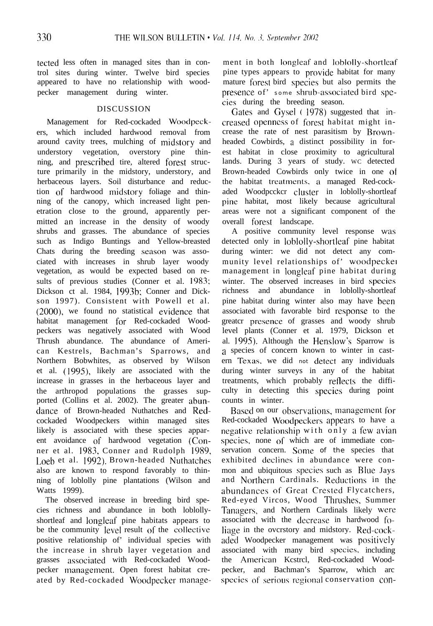tected less often in managed sites than in control sites during winter. Twelve bird species appeared to have no relationship with woodpecker management during winter.

#### DISCUSSION

Management for Red-cockaded Woodpcckers, which included hardwood removal from around cavity trees, mulching of midstory and understory vegetation, overstory pine thinning, and prescribed tire, altered forest structure primarily in the midstory, understory, and herbaceous layers. Soil disturbance and reduction of hardwood midstory foliage and thinning of the canopy, which increased light penetration close to the ground, apparently permitted an increase in the density of woody shrubs and grasses. The abundance of species such as Indigo Buntings and Yellow-breasted Chats during the breeding season was associated with increases in shrub layer woody vegetation, as would be expected based on results of previous studies (Conner et al. 1983; Dickson ct al. 1984, 1993b; Conner and Dickson 1997). Consistent with Powell et al. (2000), we found no statistical evidence that habitat management for Red-cockaded Woodpeckers was negatively associated with Wood Thrush abundance. The abundance of American Kestrels, Bachman's Sparrows, and Northern Bobwhites, as observed by Wilson et al. (1995), likely are associated with the increase in grasses in the herbaceous layer and the arthropod populations the grasses supported (Collins et al. 2002). The greater abundance of Brown-headed Nuthatches and Redcockaded Woodpeckers within managed sites likely is associated with these species apparent avoidance of hardwood vegetation (Conner et al. 19X3, Conner and Rudolph 1989, Loeb et al. 1992). Brown-headed Nuthatches also are known to respond favorably to thinning of loblolly pine plantations (Wilson and Watts 1999).

The observed increase in breeding bird species richness and abundance in both loblollyshortleaf and longleaf' pine habitats appears to be the community level result of the collective positive relationship of' individual species with the increase in shrub layer vegetation and grasses associated with Red-cockaded Woodpecker management. Open forest habitat created by Red-cockaded Woodpecker managcment in both longleaf and Ioblolly-shortleaf' pine types appears to provide habitat for many mature forest bird species but also permits the presence of' some shrub-associated bird spccies during the breeding season.

Gates and Gysel (1978) suggested that increased openness of forest habitat might increase the rate of nest parasitism by Brownheaded Cowbirds, a distinct possibility in forest habitat in close proximity to agricultural lands. During 3 years of study. WC detected Brown-headed Cowbirds only twice in one <sup>01</sup> the habitat treatments, a managed Red-cockaded Woodpcckcr cluster in loblolly-shortleaf pine habitat, most likely because agricultural areas were not a significant component of the overall forest landscape.

A positive community level response was detected only in lohlolly-shortleaf pine habitat during winter: we did not detect any community level relationships of' woodpecker management in longleaf pine habitat during winter. The observed increases in bird species richness and abundance in loblolly-shortleaf pine habitat during winter also may have been associated with favorable bird response to the greatcr prcscncc of grasses and woody shrub level plants (Conner et al. 1979, Dickson et al. 1995). Although the Henslow's Sparrow is a species of concern known to winter in castern Texas. we did not detect any individuals during winter surveys in any of the habitat treatments, which probably reftccts the difficulty in detecting this spccics during point counts in winter.

Based on our observations, management for Red-cockaded Woodpeckers appears to have a negative relationship with only a few avian species. none of which are of immediate conservation concern. Some of the species that exhibited declines in abundance were conmon and ubiquitous species such as Blue Jays and Northern Cardinals. Reductions in the abundances of Great Crested Flycatchers, Red-eyed Vircos, Wood Thrushes, Summer Tanagers, and Northern Cardinals likely were associated with the decrease in hardwood foliage in the ovcrstory and midstory. Rcd-cockaded Woodpecker management was positively associated with many bird species, including the American Kcstrcl, Red-cockaded Woodpecker, and Bachman's Sparrow, which arc species of serious regional conservation con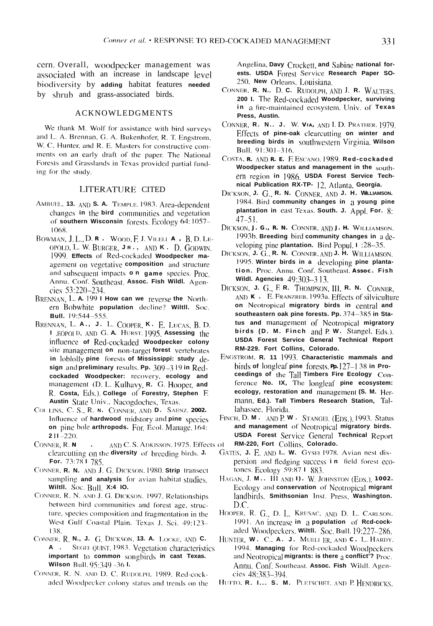cern. Overall, woodpecker management was associated with an increase in landscape level biodiversity by adding habitat features needed by shrub and grass-associated birds.

#### **ACKNOWLEDGMENTS**

We thank M. Wolf for assistance with bird surveys and L. A. Brennan, G. A. Bukenhofer, R. T. Engstrom, W. C. Hunter, and R. E. Masters for constructive comments on an early draft of the paper. The National Forests and Grasslands in Texas provided partial funding for the study.

### **LITERATURE CITED**

- AMBUEL, 13. AND S. A. TEMPLE. 1983. Area-dependent changes in the bird communities and vegetation of southern Wisconsin forests. Ecology 64:1057-1068.
- BOWMAN, J. L., D. R. WOOD, F. J. VILELI A. B. D. LE-OPOLD, L. W. BURGER, JR., AND K. D. GODWIN. 1999. Effects of Red-cockaded Woodpecker maagement on vegetative composition and structure and subsequent impacts **o n** game species. Proc. Annu. Conf. Southeast. Assoc. Fish Wildl. Agencies 53:220-234.
- BRENNAN, L. A. 199 I How can we reverse the Northern Bobwhite population decline? Wiltll. Soc. Bull. 19:544-555.
- BRENNAN, L. A., J. L. COOPER, K. E. LUCAS, B. D. L EOPOLD, AND G. A. HURST. 1995. Assessing the influence of Red-cockaded Woodpecker colony site management on non-target forest vertebrates in loblolly pine forests of Mississippi: study design and preliminary results. Pp.  $309-319$  in Redcockaded Woodpecker: recovery, ecology and management (D. L. Kulhavy, R. G. Hooper, and R. Costa, Eds.) College of Forestry, Stephen F. Austin State Univ.. Nacogdoches, Texas.
- COLLINS, C. S., R. N. CONNER, AND D. SAENZ. 2002. Influence of hardwood midstory and pine species on pine bole arthropods. For Ecol. Manage 164:  $211 - 220.$
- AND C. S. ADKISSON. 1975. Effects of CONNER, R.N. clearcutting on the diversity of breeding birds. J. For. 73:78 | 785.
- CONNER, R. N. AND J. G. DICKSON, 1980. Strip transect sampling and analysis for avian habitat studies. Wiltll. Soc. Bull. X:4 10.
- CONNER, R. N. AND J. G. DICKSON. 1997. Relationships between bird communities and forest age, structure, species composition and fragmentation in the West Gulf Coastal Plain. Texas J. Sci. 49:123-138
- CONNER, R. N., J. G. DICKSON, 13. A. LOCKE, AND C. A . SEGEL QUIST, 1983. Vegetation characteristics important to common songbirds in cast Texas. Wilson Bull. 95:349-361.
- CONNER, R. N. AND D. C. RUDOLPH, 1989. Red-cockaded Woodpecker colony status and trends on the

Angelina, Davy Crockett, and Sabine national forests. USDA Forest Service Research Paper SO-250, New Orleans, Louisiana.

- CONNER. R. N., D. C. RUDOLPH, AND J. R. WALTERS. 200 I. The Red-cockaded Woodpecker, surviving in a fire-maintained ecosystem. Univ. of Texas Press. Austin.
- CONNER, R. N., J. W. VIA, AND I. D. PRATHER. 1979. Effects of pine-oak clearcutting on winter and breeding birds in southwestern Virginia. Wilson Bull. 91:301-316.
- COSTA, R. AND R. E. E ESCANO, 1989. Red-cockaded Woodpecker status and management in the southern region in 1986, USDA Forest Service Technical Publication RX-TP- 12, Atlanta, Georgia.
- DICKSON, J. G., R. N. CONNER, AND J. H. WILLIAMSON. 1984. Bird community changes in a young pine plantation in east Texas. South. J. Appl. For. 8:  $47 - 51$ .
- DICKSON, J. G., R. N. CONNER, AND J. H. WILLIAMSON. 1993b. Breeding bird community changes in a developing pine plantation. Bird Popul, 1:28-35.
- DICKSON, J. G., R. N. CONNER, AND J. H. WILLIAMSON. 1995. Winter birds in a developing pine plantation. Proc. Annu. Conf. Southeast. Assoc. Fish Wildl. Agencies  $49:303-313$ .
- DICKSON, J. G., F. R. THOMPSON, III, R. N. CONNER, AND K . E. FRANZREB. 1993a. Effects of silviculture on Neotropical migratory birds in central and southeastern oak pine forests. Pp. 374-385 in Status and management of Neotropical migratory birds (D. M. Finch and P.W. Stangel, Eds.). USDA Forest Service General Technical Report RM-229. Fort Collins, Colorado.
- ENGSTROM, R. 11 1993. Characteristic mammals and birds of longleaf pine forests Pp. 127–1 38 in Proceedings of the Tall Timbers Fire Ecology Conference No. IX, The longleaf pine ecosystem: ecology, restoration and management (S. M. Hermann, Ed.). Tall Timbers Research Station, Tallahassee, Florida.
- FINCH, D. M. AND P. W. STANGEL (EDS.), 1993. Status and management of Neotropical migratory birds. **USDA Forest Service General Technical Report** RM-220, Fort Collins, Colorado.
- GATES, J. E. AND L. W. GYSEI 1978. Avian nest dispersion and fledging success in field forest ecotones. Ecology  $59:871$  883.
- HAGAN, J. M., III AND I). W. JOHNSTON (EDS.), 1002. Ecology and conservation of Neotropical migrant landbirds. Smithsonian Inst. Press, Washington. D.C.
- HOOPER, R. G., D. L. KRUSAC, AND D. L. CARLSON. 1991. An increase in a population of Rcd-cockaded Woodpeckers. Wiltll. Soc. Bull. 19:227-286.
- HUNTER, W. C., A. J. MUELI ER, AND C. L. HARDY. 1994. Managing for Red-cockaded Woodpeckers and Neotropical migrants: is there a conflict'? Proc. Annu. Conf. Southeast Assoc. Fish Wildl. Agencies 48:383-394.
- HUTTO, R. I... S. M. PLETSCHET. AND P. HENDRICKS.